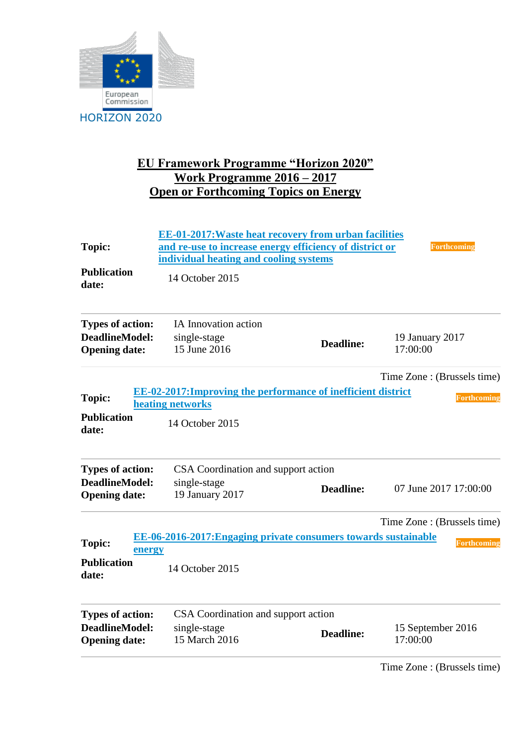

## **EU Framework Programme "Horizon 2020" Work Programme 2016 – 2017 Open or Forthcoming Topics on Energy**

|                             | <b>EE-01-2017: Waste heat recovery from urban facilities</b>         |                  |                             |
|-----------------------------|----------------------------------------------------------------------|------------------|-----------------------------|
| <b>Topic:</b>               | and re-use to increase energy efficiency of district or              |                  | <b>Forthcoming</b>          |
|                             | individual heating and cooling systems                               |                  |                             |
| <b>Publication</b><br>date: | 14 October 2015                                                      |                  |                             |
| <b>Types of action:</b>     | IA Innovation action                                                 |                  |                             |
| <b>DeadlineModel:</b>       | single-stage                                                         | <b>Deadline:</b> | 19 January 2017             |
| <b>Opening date:</b>        | 15 June 2016                                                         |                  | 17:00:00                    |
|                             |                                                                      |                  | Time Zone: (Brussels time)  |
| <b>Topic:</b>               | <b>EE-02-2017: Improving the performance of inefficient district</b> |                  | <b>Forthcoming</b>          |
|                             | heating networks                                                     |                  |                             |
| <b>Publication</b><br>date: | 14 October 2015                                                      |                  |                             |
| <b>Types of action:</b>     | CSA Coordination and support action                                  |                  |                             |
| <b>DeadlineModel:</b>       | single-stage                                                         | <b>Deadline:</b> | 07 June 2017 17:00:00       |
| <b>Opening date:</b>        | 19 January 2017                                                      |                  |                             |
|                             |                                                                      |                  | Time Zone : (Brussels time) |
| Topic:<br>energy            | EE-06-2016-2017: Engaging private consumers towards sustainable      |                  | <b>Forthcoming</b>          |
| <b>Publication</b><br>date: | 14 October 2015                                                      |                  |                             |
| <b>Types of action:</b>     | CSA Coordination and support action                                  |                  |                             |
| <b>DeadlineModel:</b>       | single-stage                                                         | <b>Deadline:</b> | 15 September 2016           |
| <b>Opening date:</b>        | 15 March 2016                                                        |                  | 17:00:00                    |
|                             |                                                                      |                  |                             |

Time Zone : (Brussels time)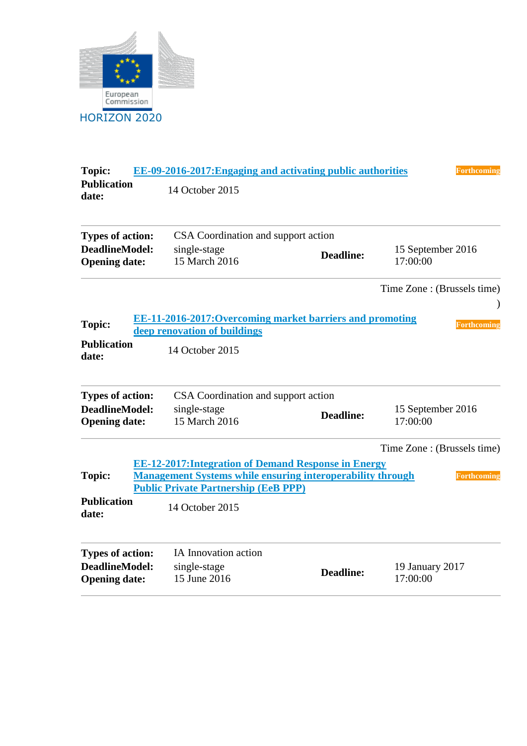

| <b>Topic:</b>                                 | EE-09-2016-2017: Engaging and activating public authorities                                                                                                                     |                  | <b>Forthcoming</b>            |
|-----------------------------------------------|---------------------------------------------------------------------------------------------------------------------------------------------------------------------------------|------------------|-------------------------------|
| <b>Publication</b><br>date:                   | 14 October 2015                                                                                                                                                                 |                  |                               |
| <b>Types of action:</b>                       | CSA Coordination and support action                                                                                                                                             |                  |                               |
| <b>DeadlineModel:</b><br><b>Opening date:</b> | single-stage<br>15 March 2016                                                                                                                                                   | <b>Deadline:</b> | 15 September 2016<br>17:00:00 |
|                                               |                                                                                                                                                                                 |                  | Time Zone : (Brussels time)   |
| <b>Topic:</b>                                 | EE-11-2016-2017: Overcoming market barriers and promoting<br>deep renovation of buildings                                                                                       |                  | <b>Forthcoming</b>            |
| <b>Publication</b><br>date:                   | 14 October 2015                                                                                                                                                                 |                  |                               |
| <b>Types of action:</b>                       | CSA Coordination and support action                                                                                                                                             |                  |                               |
| <b>DeadlineModel:</b><br><b>Opening date:</b> | single-stage<br>15 March 2016                                                                                                                                                   | <b>Deadline:</b> | 15 September 2016<br>17:00:00 |
|                                               |                                                                                                                                                                                 |                  | Time Zone : (Brussels time)   |
| <b>Topic:</b>                                 | <b>EE-12-2017: Integration of Demand Response in Energy</b><br><b>Management Systems while ensuring interoperability through</b><br><b>Public Private Partnership (EeB PPP)</b> |                  | Forthcoming                   |
| <b>Publication</b><br>date:                   | 14 October 2015                                                                                                                                                                 |                  |                               |
| <b>Types of action:</b>                       | IA Innovation action                                                                                                                                                            |                  |                               |
| <b>DeadlineModel:</b><br><b>Opening date:</b> | single-stage<br>15 June 2016                                                                                                                                                    | <b>Deadline:</b> | 19 January 2017<br>17:00:00   |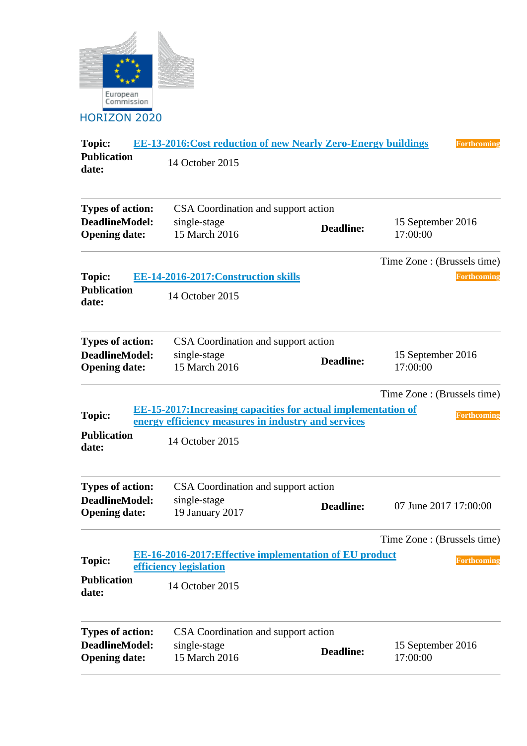

**Topic: [EE-13-2016:Cost reduction of new Nearly Zero-Energy buildings](https://ec.europa.eu/research/participants/portal/desktop/en/opportunities/h2020/topics/4091-ee-13-2016.html) Forthcoming Publication date:**  14 October 2015 **Types of action:** CSA Coordination and support action **DeadlineModel: Opening date:** single-stage 15 March 2016 **Deadline:** 15 September 2016 17:00:00 Time Zone : (Brussels time) **Topic: EE-14-2016-2017: Construction skills Forthcoming Publication date:**  14 October 2015 **Types of action:** CSA Coordination and support action **DeadlineModel: Opening date:** single-stage 15 March 2016 **Deadline:** 15 September 2016 17:00:00 Time Zone : (Brussels time) **Topic: [EE-15-2017:Increasing capacities for actual implementation of](https://ec.europa.eu/research/participants/portal/desktop/en/opportunities/h2020/topics/5050-ee-15-2017.html)  [energy efficiency measures in industry and services](https://ec.europa.eu/research/participants/portal/desktop/en/opportunities/h2020/topics/5050-ee-15-2017.html)** *Forthcoming Forthcoming* **Publication date:**  14 October 2015 **Types of action:** CSA Coordination and support action **DeadlineModel: Opening date:** single-stage 19 January 2017 **Deadline:** 07 June 2017 17:00:00 Time Zone : (Brussels time) **Topic: [EE-16-2016-2017:Effective implementation of EU product](https://ec.europa.eu/research/participants/portal/desktop/en/opportunities/h2020/topics/4096-ee-16-2016-2017.html)  <u>EE-10-2010-2017:Effective implementation of EU product</u><br>[efficiency legislation](https://ec.europa.eu/research/participants/portal/desktop/en/opportunities/h2020/topics/4096-ee-16-2016-2017.html) Publication date:**  14 October 2015 **Types of action:** CSA Coordination and support action **DeadlineModel: Opening date:** single-stage 15 March 2016 **Deadline:** 15 September 2016 17:00:00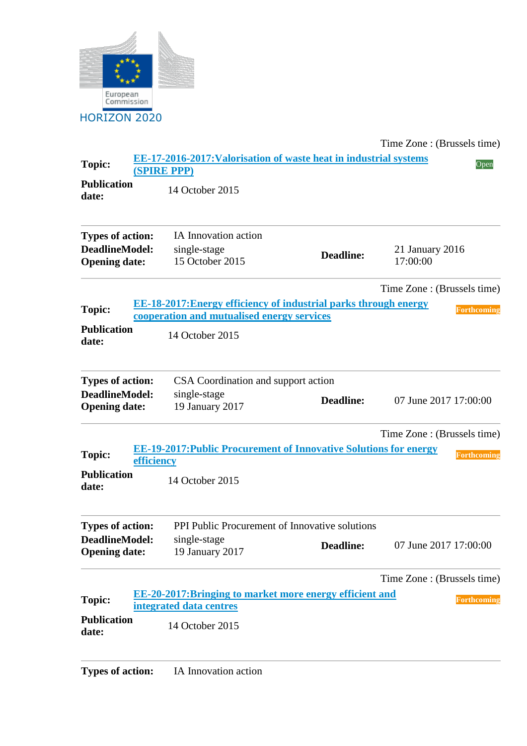

Time Zone : (Brussels time) **Topic: [EE-17-2016-2017:Valorisation of waste heat in industrial systems](https://ec.europa.eu/research/participants/portal/desktop/en/opportunities/h2020/topics/4087-ee-17-2016-2017.html)  [\(SPIRE PPP\)](https://ec.europa.eu/research/participants/portal/desktop/en/opportunities/h2020/topics/4087-ee-17-2016-2017.html)** Open **Publication date:**  14 October 2015 **Types of action:** IA Innovation action **DeadlineModel: Opening date:** single-stage single-stage 21 January 2016<br>15 October 2015 **Deadline:** 21 January 2016 17:00:00 Time Zone : (Brussels time) **Topic: [EE-18-2017:Energy efficiency of industrial parks through energy](https://ec.europa.eu/research/participants/portal/desktop/en/opportunities/h2020/topics/5053-ee-18-2017.html)  [cooperation and mutualised energy services](https://ec.europa.eu/research/participants/portal/desktop/en/opportunities/h2020/topics/5053-ee-18-2017.html)**<br>cooperation and mutualised energy services **Publication date:**  14 October 2015 **Types of action:** CSA Coordination and support action **DeadlineModel: Opening date:** single-stage **Deadline:** 07 June 2017 17:00:00<br>19 January 2017 Time Zone : (Brussels time) **Topic: [EE-19-2017:Public Procurement of Innovative Solutions for energy](https://ec.europa.eu/research/participants/portal/desktop/en/opportunities/h2020/topics/5054-ee-19-2017.html)  [efficiency](https://ec.europa.eu/research/participants/portal/desktop/en/opportunities/h2020/topics/5054-ee-19-2017.html) Forthcoming Forthcoming Publication date:**  14 October 2015 **Types of action:** PPI Public Procurement of Innovative solutions **DeadlineModel: Opening date:** single-stage 19 January 2017 **Deadline:** 07 June 2017 17:00:00 Time Zone : (Brussels time) **Topic: [EE-20-2017:Bringing to market more energy efficient and](https://ec.europa.eu/research/participants/portal/desktop/en/opportunities/h2020/topics/4085-ee-20-2017.html)  [integrated data centres](https://ec.europa.eu/research/participants/portal/desktop/en/opportunities/h2020/topics/4085-ee-20-2017.html) Forthcoming** *Forthcoming* **Forthcoming** *Forthcoming Forthcoming* **Publication date:**  14 October 2015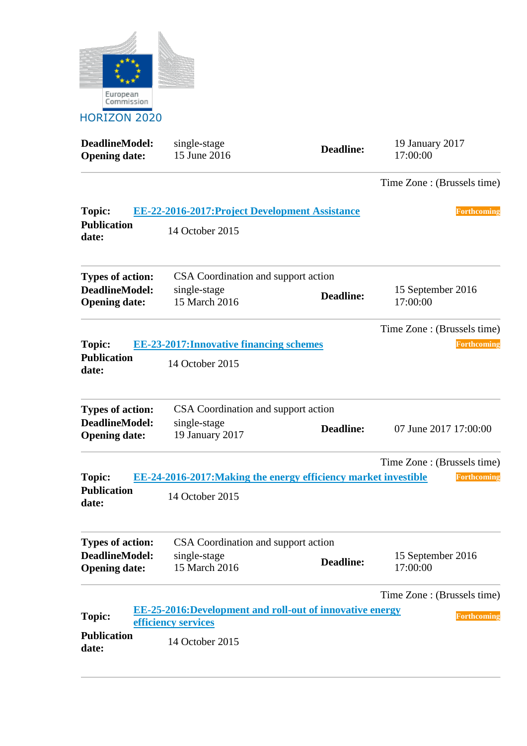

**DeadlineModel: Opening date:** single-stage **19 January 2017<br>15 June 2016 Deadline:** 19 January 2017<br>17:00:00 17:00:00 Time Zone : (Brussels time) **Topic: [EE-22-2016-2017:Project Development Assistance](https://ec.europa.eu/research/participants/portal/desktop/en/opportunities/h2020/topics/4099-ee-22-2016-2017.html) Forthcoming Publication date:**  14 October 2015 **Types of action:** CSA Coordination and support action **DeadlineModel: Opening date:** single-stage 15 March 2016 **Deadline:** 15 September 2016 17:00:00 Time Zone : (Brussels time) **Topic: [EE-23-2017:Innovative financing schemes](https://ec.europa.eu/research/participants/portal/desktop/en/opportunities/h2020/topics/5051-ee-23-2017.html) Forthcoming Publication date:**  14 October 2015 **Types of action:** CSA Coordination and support action **DeadlineModel: Opening date:** single-stage 19 January 2017 **Deadline:** 07 June 2017 17:00:00 Time Zone : (Brussels time) **Topic: EE-24-2016-2017: Making the energy efficiency market investible Forthcoming Publication date:**  14 October 2015 **Types of action:** CSA Coordination and support action **DeadlineModel: Opening date:** single-stage 15 March 2016 **Deadline:** 15 September 2016 17:00:00 Time Zone : (Brussels time) **Topic: [EE-25-2016:Development and roll-out of innovative energy](https://ec.europa.eu/research/participants/portal/desktop/en/opportunities/h2020/topics/4094-ee-25-2016.html)  [efficiency services](https://ec.europa.eu/research/participants/portal/desktop/en/opportunities/h2020/topics/4094-ee-25-2016.html) For the services Forthcoming Forthcoming Forthcoming Publication date:**  14 October 2015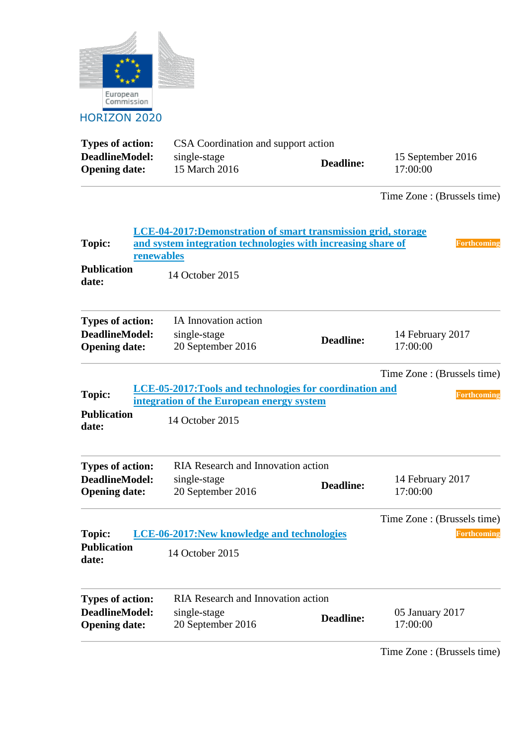

| <b>Types of action:</b> | CSA Coordination and support action |                  |                   |  |
|-------------------------|-------------------------------------|------------------|-------------------|--|
| DeadlineModel:          | single-stage                        | <b>Deadline:</b> | 15 September 2016 |  |
| <b>Opening date:</b>    | 15 March 2016                       |                  | 17:00:00          |  |

Time Zone : (Brussels time)

| LCE-04-2017: Demonstration of smart transmission grid, storage<br><b>Topic:</b><br>and system integration technologies with increasing share of<br>Forthcoming<br>renewables |  |                                                                                                                          |                  |                                                   |  |
|------------------------------------------------------------------------------------------------------------------------------------------------------------------------------|--|--------------------------------------------------------------------------------------------------------------------------|------------------|---------------------------------------------------|--|
| <b>Publication</b><br>date:                                                                                                                                                  |  | 14 October 2015                                                                                                          |                  |                                                   |  |
| <b>Types of action:</b><br><b>DeadlineModel:</b><br><b>Opening date:</b>                                                                                                     |  | IA Innovation action<br>single-stage<br>20 September 2016                                                                | <b>Deadline:</b> | 14 February 2017<br>17:00:00                      |  |
| <b>Topic:</b><br><b>Publication</b><br>date:                                                                                                                                 |  | LCE-05-2017: Tools and technologies for coordination and<br>integration of the European energy system<br>14 October 2015 |                  | Time Zone: (Brussels time)<br>Forthcoming         |  |
| <b>Types of action:</b><br><b>DeadlineModel:</b><br><b>Opening date:</b>                                                                                                     |  | <b>RIA Research and Innovation action</b><br>single-stage<br>20 September 2016                                           | Deadline:        | 14 February 2017<br>17:00:00                      |  |
| <b>Topic:</b><br><b>Publication</b><br>date:                                                                                                                                 |  | <b>LCE-06-2017: New knowledge and technologies</b><br>14 October 2015                                                    |                  | Time Zone : (Brussels time)<br><b>Forthcoming</b> |  |
| <b>Types of action:</b><br><b>DeadlineModel:</b><br><b>Opening date:</b>                                                                                                     |  | RIA Research and Innovation action<br>single-stage<br>20 September 2016                                                  | <b>Deadline:</b> | 05 January 2017<br>17:00:00                       |  |

Time Zone : (Brussels time)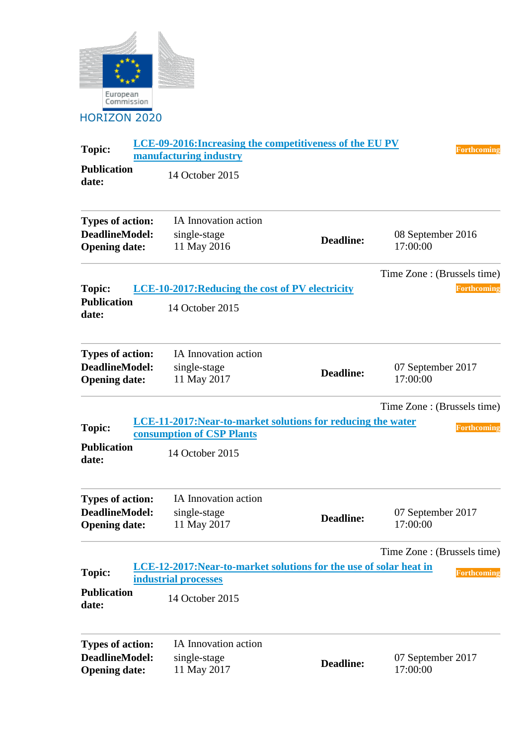

| <b>Topic:</b>                                                            | LCE-09-2016: Increasing the competitiveness of the EU PV<br>manufacturing industry         |                  | <b>Forthcoming</b>            |
|--------------------------------------------------------------------------|--------------------------------------------------------------------------------------------|------------------|-------------------------------|
| <b>Publication</b><br>date:                                              | 14 October 2015                                                                            |                  |                               |
| <b>Types of action:</b><br><b>DeadlineModel:</b><br><b>Opening date:</b> | IA Innovation action<br>single-stage<br>11 May 2016                                        | <b>Deadline:</b> | 08 September 2016<br>17:00:00 |
|                                                                          |                                                                                            |                  | Time Zone : (Brussels time)   |
| <b>Topic:</b>                                                            | <b>LCE-10-2017: Reducing the cost of PV electricity</b>                                    |                  | <b>Forthcoming</b>            |
| <b>Publication</b><br>date:                                              | 14 October 2015                                                                            |                  |                               |
| <b>Types of action:</b><br><b>DeadlineModel:</b>                         | IA Innovation action<br>single-stage                                                       | <b>Deadline:</b> | 07 September 2017             |
| <b>Opening date:</b>                                                     | 11 May 2017                                                                                |                  | 17:00:00                      |
|                                                                          |                                                                                            |                  | Time Zone: (Brussels time)    |
| Topic:                                                                   | LCE-11-2017: Near-to-market solutions for reducing the water<br>consumption of CSP Plants  |                  | <b>Forthcoming</b>            |
| <b>Publication</b><br>date:                                              | 14 October 2015                                                                            |                  |                               |
| <b>Types of action:</b>                                                  | IA Innovation action                                                                       |                  |                               |
| <b>DeadlineModel:</b><br><b>Opening date:</b>                            | single-stage<br>11 May 2017                                                                | <b>Deadline:</b> | 07 September 2017<br>17:00:00 |
|                                                                          |                                                                                            |                  | Time Zone : (Brussels time)   |
| Topic:                                                                   | LCE-12-2017: Near-to-market solutions for the use of solar heat in<br>industrial processes |                  | <b>Forthcoming</b>            |
| <b>Publication</b><br>date:                                              | 14 October 2015                                                                            |                  |                               |
| <b>Types of action:</b>                                                  | IA Innovation action                                                                       |                  |                               |
| <b>DeadlineModel:</b><br><b>Opening date:</b>                            | single-stage<br>11 May 2017                                                                | <b>Deadline:</b> | 07 September 2017<br>17:00:00 |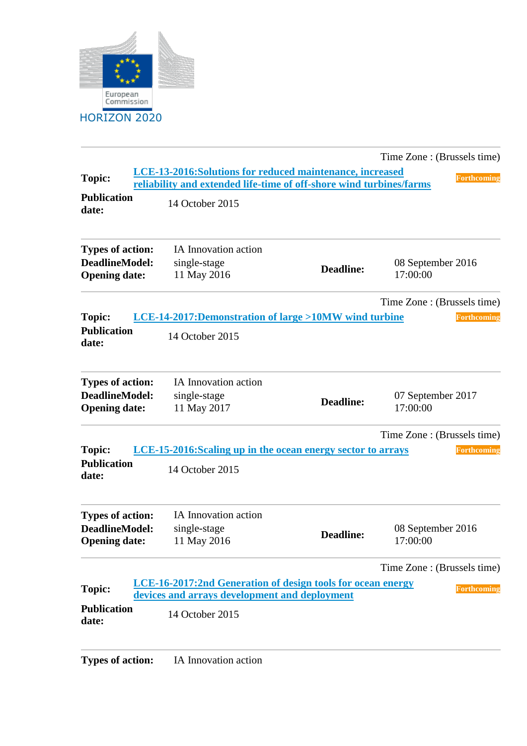

|                                                                          |                                                                                                                                  |                  | Time Zone : (Brussels time)   |                    |
|--------------------------------------------------------------------------|----------------------------------------------------------------------------------------------------------------------------------|------------------|-------------------------------|--------------------|
| <b>Topic:</b>                                                            | LCE-13-2016: Solutions for reduced maintenance, increased<br>reliability and extended life-time of off-shore wind turbines/farms |                  |                               | <b>Forthcoming</b> |
| <b>Publication</b><br>date:                                              | 14 October 2015                                                                                                                  |                  |                               |                    |
| <b>Types of action:</b><br><b>DeadlineModel:</b><br><b>Opening date:</b> | IA Innovation action<br>single-stage<br>11 May 2016                                                                              | <b>Deadline:</b> | 08 September 2016<br>17:00:00 |                    |
|                                                                          |                                                                                                                                  |                  | Time Zone : (Brussels time)   |                    |
| <b>Topic:</b><br><b>Publication</b><br>date:                             | <b>LCE-14-2017:Demonstration of large &gt;10MW wind turbine</b><br>14 October 2015                                               |                  |                               | Forthcoming        |
| <b>Types of action:</b><br><b>DeadlineModel:</b><br><b>Opening date:</b> | IA Innovation action<br>single-stage<br>11 May 2017                                                                              | <b>Deadline:</b> | 07 September 2017<br>17:00:00 |                    |
| <b>Topic:</b><br><b>Publication</b><br>date:                             | LCE-15-2016:Scaling up in the ocean energy sector to arrays<br>14 October 2015                                                   |                  | Time Zone : (Brussels time)   | Forthcoming        |
| <b>Types of action:</b><br><b>DeadlineModel:</b><br><b>Opening date:</b> | IA Innovation action<br>single-stage<br>11 May 2016                                                                              | <b>Deadline:</b> | 08 September 2016<br>17:00:00 |                    |
|                                                                          |                                                                                                                                  |                  | Time Zone : (Brussels time)   |                    |
| Topic:                                                                   | LCE-16-2017:2nd Generation of design tools for ocean energy                                                                      |                  |                               | <b>Forthcoming</b> |
| <b>Publication</b>                                                       | devices and arrays development and deployment                                                                                    |                  |                               |                    |
| date:                                                                    | 14 October 2015                                                                                                                  |                  |                               |                    |
|                                                                          |                                                                                                                                  |                  |                               |                    |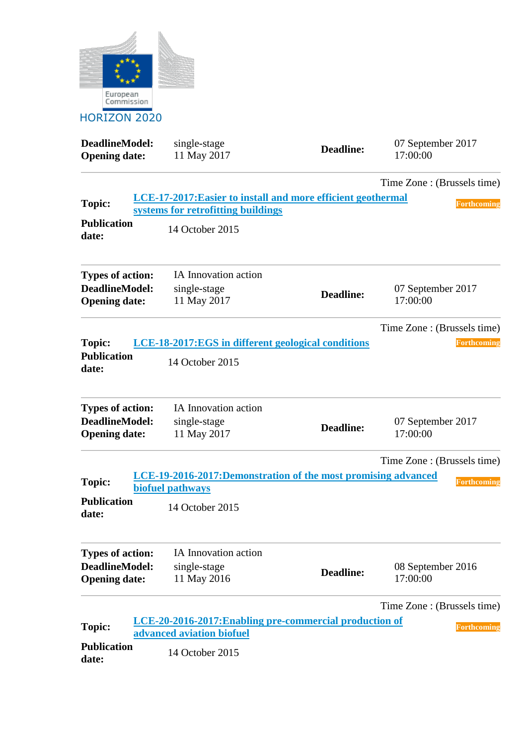

| <b>DeadlineModel:</b><br><b>Opening date:</b> | single-stage<br>11 May 2017                                                          | <b>Deadline:</b> | 07 September 2017<br>17:00:00 |
|-----------------------------------------------|--------------------------------------------------------------------------------------|------------------|-------------------------------|
|                                               |                                                                                      |                  | Time Zone : (Brussels time)   |
| <b>Topic:</b>                                 | LCE-17-2017: Easier to install and more efficient geothermal                         |                  | <b>Forthcoming</b>            |
|                                               | systems for retrofitting buildings                                                   |                  |                               |
| <b>Publication</b><br>date:                   | 14 October 2015                                                                      |                  |                               |
| <b>Types of action:</b>                       | IA Innovation action                                                                 |                  |                               |
| <b>DeadlineModel:</b><br><b>Opening date:</b> | single-stage<br>11 May 2017                                                          | <b>Deadline:</b> | 07 September 2017<br>17:00:00 |
|                                               |                                                                                      |                  | Time Zone : (Brussels time)   |
| <b>Topic:</b>                                 | LCE-18-2017:EGS in different geological conditions                                   |                  | <b>Forthcoming</b>            |
| <b>Publication</b><br>date:                   | 14 October 2015                                                                      |                  |                               |
| <b>Types of action:</b>                       | IA Innovation action                                                                 |                  |                               |
| <b>DeadlineModel:</b><br><b>Opening date:</b> | single-stage<br>11 May 2017                                                          | <b>Deadline:</b> | 07 September 2017<br>17:00:00 |
|                                               |                                                                                      |                  | Time Zone : (Brussels time)   |
| <b>Topic:</b>                                 | LCE-19-2016-2017:Demonstration of the most promising advanced<br>biofuel pathways    |                  | <b>Forthcoming</b>            |
| <b>Publication</b><br>date:                   | 14 October 2015                                                                      |                  |                               |
| <b>Types of action:</b>                       | IA Innovation action                                                                 |                  |                               |
| <b>DeadlineModel:</b>                         | single-stage                                                                         |                  | 08 September 2016             |
| <b>Opening date:</b>                          | 11 May 2016                                                                          | <b>Deadline:</b> | 17:00:00                      |
|                                               |                                                                                      |                  | Time Zone : (Brussels time)   |
| <b>Topic:</b>                                 | LCE-20-2016-2017: Enabling pre-commercial production of<br>advanced aviation biofuel |                  | Forthcoming                   |
| <b>Publication</b><br>date:                   | 14 October 2015                                                                      |                  |                               |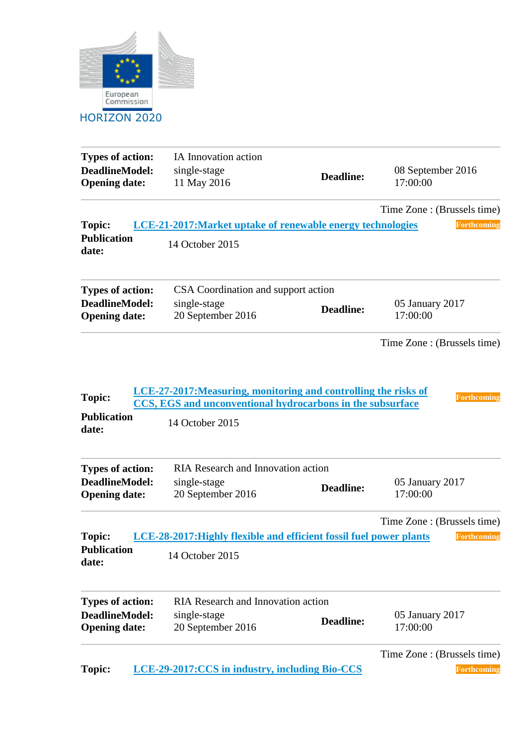

| <b>Types of action:</b><br><b>DeadlineModel:</b><br><b>Opening date:</b> | IA Innovation action<br>single-stage<br>11 May 2016                                                                                              | <b>Deadline:</b> | 08 September 2016<br>17:00:00 |
|--------------------------------------------------------------------------|--------------------------------------------------------------------------------------------------------------------------------------------------|------------------|-------------------------------|
|                                                                          |                                                                                                                                                  |                  | Time Zone : (Brussels time)   |
| Topic:<br><b>Publication</b><br>date:                                    | <b>LCE-21-2017: Market uptake of renewable energy technologies</b><br>14 October 2015                                                            |                  | <b>Forthcoming</b>            |
| <b>Types of action:</b>                                                  | CSA Coordination and support action                                                                                                              |                  |                               |
| <b>DeadlineModel:</b><br><b>Opening date:</b>                            | single-stage<br>20 September 2016                                                                                                                | <b>Deadline:</b> | 05 January 2017<br>17:00:00   |
|                                                                          |                                                                                                                                                  |                  | Time Zone : (Brussels time)   |
| <b>Topic:</b><br><b>Publication</b><br>date:                             | LCE-27-2017: Measuring, monitoring and controlling the risks of<br>CCS, EGS and unconventional hydrocarbons in the subsurface<br>14 October 2015 |                  | <b>Forthcoming</b>            |
| <b>Types of action:</b>                                                  | <b>RIA Research and Innovation action</b>                                                                                                        |                  |                               |
| <b>DeadlineModel:</b><br><b>Opening date:</b>                            | single-stage<br>20 September 2016                                                                                                                | <b>Deadline:</b> | 05 January 2017<br>17:00:00   |
|                                                                          |                                                                                                                                                  |                  | Time Zone : (Brussels time)   |
| <b>Topic:</b><br><b>Publication</b><br>date:                             | LCE-28-2017: Highly flexible and efficient fossil fuel power plants<br>14 October 2015                                                           |                  | <b>Forthcoming</b>            |
| <b>Types of action:</b>                                                  | RIA Research and Innovation action                                                                                                               |                  |                               |
| <b>DeadlineModel:</b><br><b>Opening date:</b>                            | single-stage<br>20 September 2016                                                                                                                | <b>Deadline:</b> | 05 January 2017<br>17:00:00   |
|                                                                          |                                                                                                                                                  |                  | Time Zone : (Brussels time)   |
| Topic:                                                                   | LCE-29-2017:CCS in industry, including Bio-CCS                                                                                                   |                  | <b>Forthcoming</b>            |